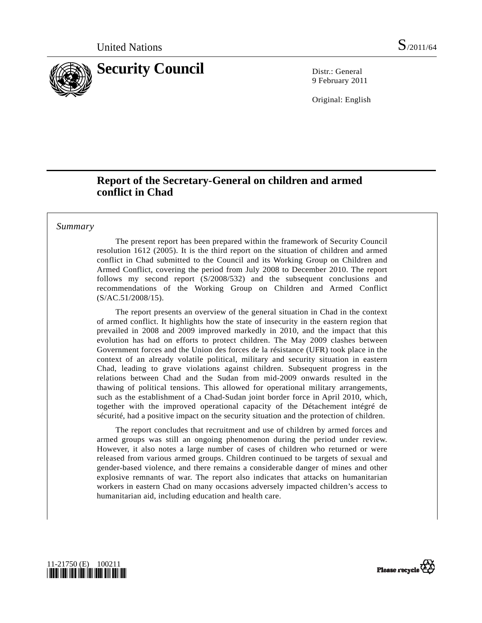

9 February 2011

Original: English

# **Report of the Secretary-General on children and armed conflict in Chad**

### *Summary*

 The present report has been prepared within the framework of Security Council resolution 1612 (2005). It is the third report on the situation of children and armed conflict in Chad submitted to the Council and its Working Group on Children and Armed Conflict, covering the period from July 2008 to December 2010. The report follows my second report (S/2008/532) and the subsequent conclusions and recommendations of the Working Group on Children and Armed Conflict (S/AC.51/2008/15).

 The report presents an overview of the general situation in Chad in the context of armed conflict. It highlights how the state of insecurity in the eastern region that prevailed in 2008 and 2009 improved markedly in 2010, and the impact that this evolution has had on efforts to protect children. The May 2009 clashes between Government forces and the Union des forces de la résistance (UFR) took place in the context of an already volatile political, military and security situation in eastern Chad, leading to grave violations against children. Subsequent progress in the relations between Chad and the Sudan from mid-2009 onwards resulted in the thawing of political tensions. This allowed for operational military arrangements, such as the establishment of a Chad-Sudan joint border force in April 2010, which, together with the improved operational capacity of the Détachement intégré de sécurité, had a positive impact on the security situation and the protection of children.

 The report concludes that recruitment and use of children by armed forces and armed groups was still an ongoing phenomenon during the period under review. However, it also notes a large number of cases of children who returned or were released from various armed groups. Children continued to be targets of sexual and gender-based violence, and there remains a considerable danger of mines and other explosive remnants of war. The report also indicates that attacks on humanitarian workers in eastern Chad on many occasions adversely impacted children's access to humanitarian aid, including education and health care.



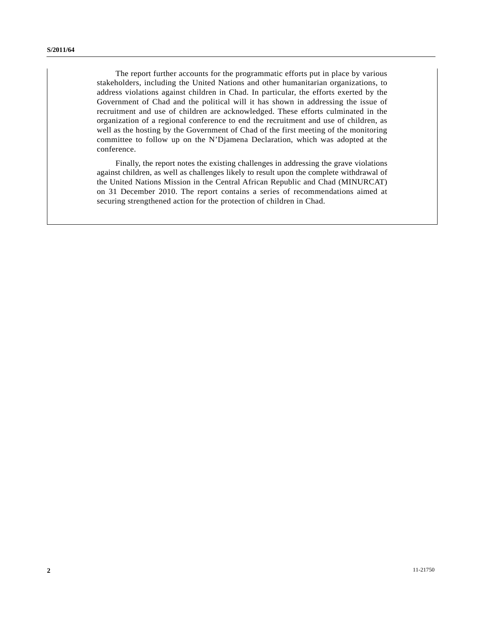The report further accounts for the programmatic efforts put in place by various stakeholders, including the United Nations and other humanitarian organizations, to address violations against children in Chad. In particular, the efforts exerted by the Government of Chad and the political will it has shown in addressing the issue of recruitment and use of children are acknowledged. These efforts culminated in the organization of a regional conference to end the recruitment and use of children, as well as the hosting by the Government of Chad of the first meeting of the monitoring committee to follow up on the N'Djamena Declaration, which was adopted at the conference.

 Finally, the report notes the existing challenges in addressing the grave violations against children, as well as challenges likely to result upon the complete withdrawal of the United Nations Mission in the Central African Republic and Chad (MINURCAT) on 31 December 2010. The report contains a series of recommendations aimed at securing strengthened action for the protection of children in Chad.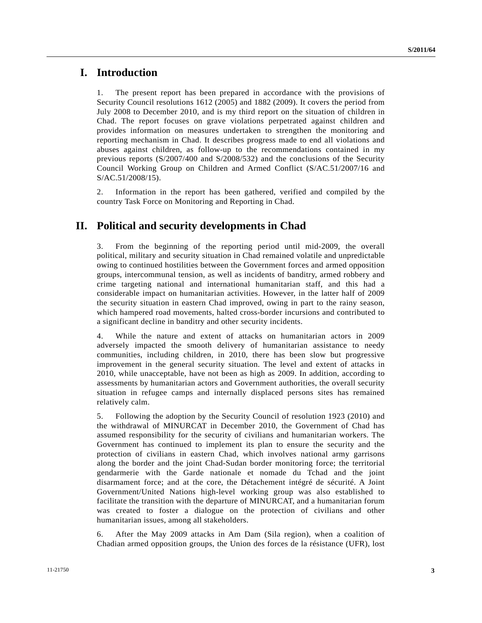## **I. Introduction**

1. The present report has been prepared in accordance with the provisions of Security Council resolutions 1612 (2005) and 1882 (2009). It covers the period from July 2008 to December 2010, and is my third report on the situation of children in Chad. The report focuses on grave violations perpetrated against children and provides information on measures undertaken to strengthen the monitoring and reporting mechanism in Chad. It describes progress made to end all violations and abuses against children, as follow-up to the recommendations contained in my previous reports (S/2007/400 and S/2008/532) and the conclusions of the Security Council Working Group on Children and Armed Conflict (S/AC.51/2007/16 and S/AC.51/2008/15).

2. Information in the report has been gathered, verified and compiled by the country Task Force on Monitoring and Reporting in Chad.

# **II. Political and security developments in Chad**

3. From the beginning of the reporting period until mid-2009, the overall political, military and security situation in Chad remained volatile and unpredictable owing to continued hostilities between the Government forces and armed opposition groups, intercommunal tension, as well as incidents of banditry, armed robbery and crime targeting national and international humanitarian staff, and this had a considerable impact on humanitarian activities. However, in the latter half of 2009 the security situation in eastern Chad improved, owing in part to the rainy season, which hampered road movements, halted cross-border incursions and contributed to a significant decline in banditry and other security incidents.

4. While the nature and extent of attacks on humanitarian actors in 2009 adversely impacted the smooth delivery of humanitarian assistance to needy communities, including children, in 2010, there has been slow but progressive improvement in the general security situation. The level and extent of attacks in 2010, while unacceptable, have not been as high as 2009. In addition, according to assessments by humanitarian actors and Government authorities, the overall security situation in refugee camps and internally displaced persons sites has remained relatively calm.

5. Following the adoption by the Security Council of resolution 1923 (2010) and the withdrawal of MINURCAT in December 2010, the Government of Chad has assumed responsibility for the security of civilians and humanitarian workers. The Government has continued to implement its plan to ensure the security and the protection of civilians in eastern Chad, which involves national army garrisons along the border and the joint Chad-Sudan border monitoring force; the territorial gendarmerie with the Garde nationale et nomade du Tchad and the joint disarmament force; and at the core, the Détachement intégré de sécurité. A Joint Government/United Nations high-level working group was also established to facilitate the transition with the departure of MINURCAT, and a humanitarian forum was created to foster a dialogue on the protection of civilians and other humanitarian issues, among all stakeholders.

6. After the May 2009 attacks in Am Dam (Sila region), when a coalition of Chadian armed opposition groups, the Union des forces de la résistance (UFR), lost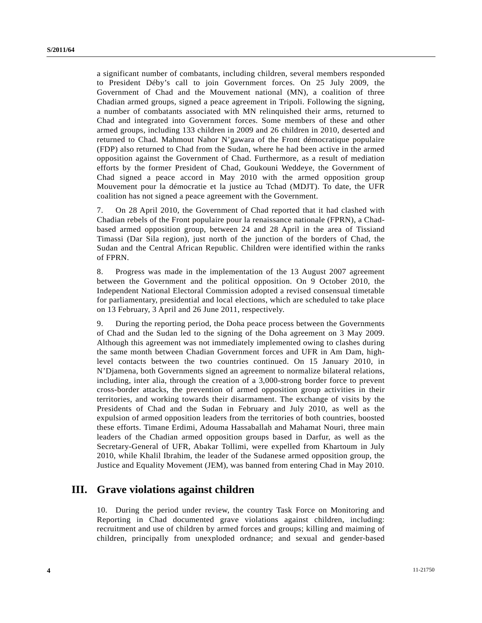a significant number of combatants, including children, several members responded to President Déby's call to join Government forces. On 25 July 2009, the Government of Chad and the Mouvement national (MN), a coalition of three Chadian armed groups, signed a peace agreement in Tripoli. Following the signing, a number of combatants associated with MN relinquished their arms, returned to Chad and integrated into Government forces. Some members of these and other armed groups, including 133 children in 2009 and 26 children in 2010, deserted and returned to Chad. Mahmout Nahor N'gawara of the Front démocratique populaire (FDP) also returned to Chad from the Sudan, where he had been active in the armed opposition against the Government of Chad. Furthermore, as a result of mediation efforts by the former President of Chad, Goukouni Weddeye, the Government of Chad signed a peace accord in May 2010 with the armed opposition group Mouvement pour la démocratie et la justice au Tchad (MDJT). To date, the UFR coalition has not signed a peace agreement with the Government.

7. On 28 April 2010, the Government of Chad reported that it had clashed with Chadian rebels of the Front populaire pour la renaissance nationale (FPRN), a Chadbased armed opposition group, between 24 and 28 April in the area of Tissiand Timassi (Dar Sila region), just north of the junction of the borders of Chad, the Sudan and the Central African Republic. Children were identified within the ranks of FPRN.

8. Progress was made in the implementation of the 13 August 2007 agreement between the Government and the political opposition. On 9 October 2010, the Independent National Electoral Commission adopted a revised consensual timetable for parliamentary, presidential and local elections, which are scheduled to take place on 13 February, 3 April and 26 June 2011, respectively.

9. During the reporting period, the Doha peace process between the Governments of Chad and the Sudan led to the signing of the Doha agreement on 3 May 2009. Although this agreement was not immediately implemented owing to clashes during the same month between Chadian Government forces and UFR in Am Dam, highlevel contacts between the two countries continued. On 15 January 2010, in N'Djamena, both Governments signed an agreement to normalize bilateral relations, including, inter alia, through the creation of a 3,000-strong border force to prevent cross-border attacks, the prevention of armed opposition group activities in their territories, and working towards their disarmament. The exchange of visits by the Presidents of Chad and the Sudan in February and July 2010, as well as the expulsion of armed opposition leaders from the territories of both countries, boosted these efforts. Timane Erdimi, Adouma Hassaballah and Mahamat Nouri, three main leaders of the Chadian armed opposition groups based in Darfur, as well as the Secretary-General of UFR, Abakar Tollimi, were expelled from Khartoum in July 2010, while Khalil Ibrahim, the leader of the Sudanese armed opposition group, the Justice and Equality Movement (JEM), was banned from entering Chad in May 2010.

## **III. Grave violations against children**

10. During the period under review, the country Task Force on Monitoring and Reporting in Chad documented grave violations against children, including: recruitment and use of children by armed forces and groups; killing and maiming of children, principally from unexploded ordnance; and sexual and gender-based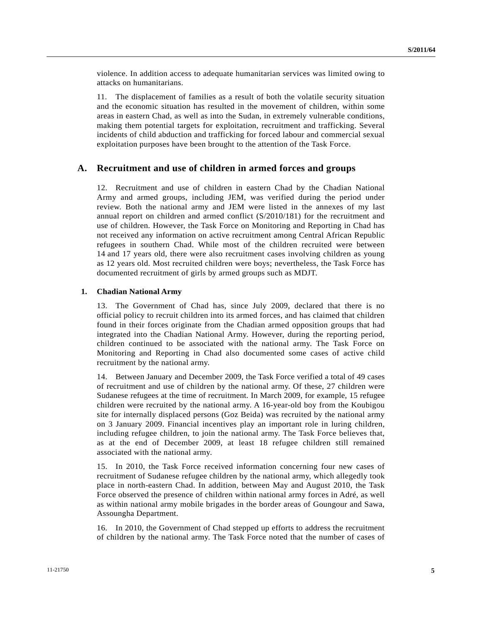violence. In addition access to adequate humanitarian services was limited owing to attacks on humanitarians.

11. The displacement of families as a result of both the volatile security situation and the economic situation has resulted in the movement of children, within some areas in eastern Chad, as well as into the Sudan, in extremely vulnerable conditions, making them potential targets for exploitation, recruitment and trafficking. Several incidents of child abduction and trafficking for forced labour and commercial sexual exploitation purposes have been brought to the attention of the Task Force.

### **A. Recruitment and use of children in armed forces and groups**

12. Recruitment and use of children in eastern Chad by the Chadian National Army and armed groups, including JEM, was verified during the period under review. Both the national army and JEM were listed in the annexes of my last annual report on children and armed conflict (S/2010/181) for the recruitment and use of children. However, the Task Force on Monitoring and Reporting in Chad has not received any information on active recruitment among Central African Republic refugees in southern Chad. While most of the children recruited were between 14 and 17 years old, there were also recruitment cases involving children as young as 12 years old. Most recruited children were boys; nevertheless, the Task Force has documented recruitment of girls by armed groups such as MDJT.

#### **1. Chadian National Army**

13. The Government of Chad has, since July 2009, declared that there is no official policy to recruit children into its armed forces, and has claimed that children found in their forces originate from the Chadian armed opposition groups that had integrated into the Chadian National Army. However, during the reporting period, children continued to be associated with the national army. The Task Force on Monitoring and Reporting in Chad also documented some cases of active child recruitment by the national army.

14. Between January and December 2009, the Task Force verified a total of 49 cases of recruitment and use of children by the national army. Of these, 27 children were Sudanese refugees at the time of recruitment. In March 2009, for example, 15 refugee children were recruited by the national army. A 16-year-old boy from the Koubigou site for internally displaced persons (Goz Beida) was recruited by the national army on 3 January 2009. Financial incentives play an important role in luring children, including refugee children, to join the national army. The Task Force believes that, as at the end of December 2009, at least 18 refugee children still remained associated with the national army.

15. In 2010, the Task Force received information concerning four new cases of recruitment of Sudanese refugee children by the national army, which allegedly took place in north-eastern Chad. In addition, between May and August 2010, the Task Force observed the presence of children within national army forces in Adré, as well as within national army mobile brigades in the border areas of Goungour and Sawa, Assoungha Department.

16. In 2010, the Government of Chad stepped up efforts to address the recruitment of children by the national army. The Task Force noted that the number of cases of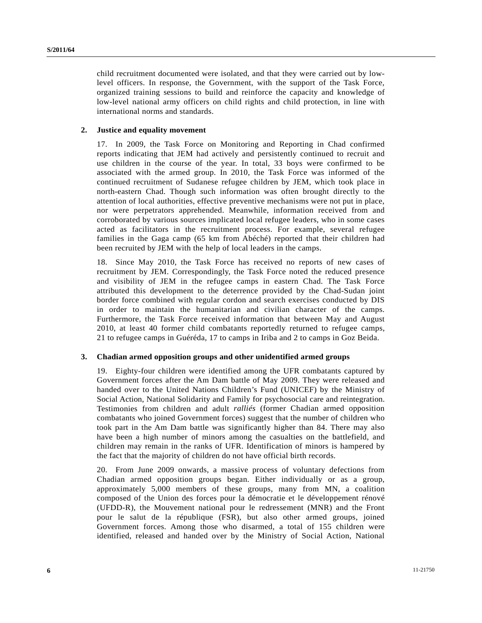child recruitment documented were isolated, and that they were carried out by lowlevel officers. In response, the Government, with the support of the Task Force, organized training sessions to build and reinforce the capacity and knowledge of low-level national army officers on child rights and child protection, in line with international norms and standards.

#### **2. Justice and equality movement**

17. In 2009, the Task Force on Monitoring and Reporting in Chad confirmed reports indicating that JEM had actively and persistently continued to recruit and use children in the course of the year. In total, 33 boys were confirmed to be associated with the armed group. In 2010, the Task Force was informed of the continued recruitment of Sudanese refugee children by JEM, which took place in north-eastern Chad. Though such information was often brought directly to the attention of local authorities, effective preventive mechanisms were not put in place, nor were perpetrators apprehended. Meanwhile, information received from and corroborated by various sources implicated local refugee leaders, who in some cases acted as facilitators in the recruitment process. For example, several refugee families in the Gaga camp (65 km from Abéché) reported that their children had been recruited by JEM with the help of local leaders in the camps.

18. Since May 2010, the Task Force has received no reports of new cases of recruitment by JEM. Correspondingly, the Task Force noted the reduced presence and visibility of JEM in the refugee camps in eastern Chad. The Task Force attributed this development to the deterrence provided by the Chad-Sudan joint border force combined with regular cordon and search exercises conducted by DIS in order to maintain the humanitarian and civilian character of the camps. Furthermore, the Task Force received information that between May and August 2010, at least 40 former child combatants reportedly returned to refugee camps, 21 to refugee camps in Guéréda, 17 to camps in Iriba and 2 to camps in Goz Beida.

#### **3. Chadian armed opposition groups and other unidentified armed groups**

19. Eighty-four children were identified among the UFR combatants captured by Government forces after the Am Dam battle of May 2009. They were released and handed over to the United Nations Children's Fund (UNICEF) by the Ministry of Social Action, National Solidarity and Family for psychosocial care and reintegration. Testimonies from children and adult *ralliés* (former Chadian armed opposition combatants who joined Government forces) suggest that the number of children who took part in the Am Dam battle was significantly higher than 84. There may also have been a high number of minors among the casualties on the battlefield, and children may remain in the ranks of UFR. Identification of minors is hampered by the fact that the majority of children do not have official birth records.

20. From June 2009 onwards, a massive process of voluntary defections from Chadian armed opposition groups began. Either individually or as a group, approximately 5,000 members of these groups, many from MN, a coalition composed of the Union des forces pour la démocratie et le développement rénové (UFDD-R), the Mouvement national pour le redressement (MNR) and the Front pour le salut de la république (FSR), but also other armed groups, joined Government forces. Among those who disarmed, a total of 155 children were identified, released and handed over by the Ministry of Social Action, National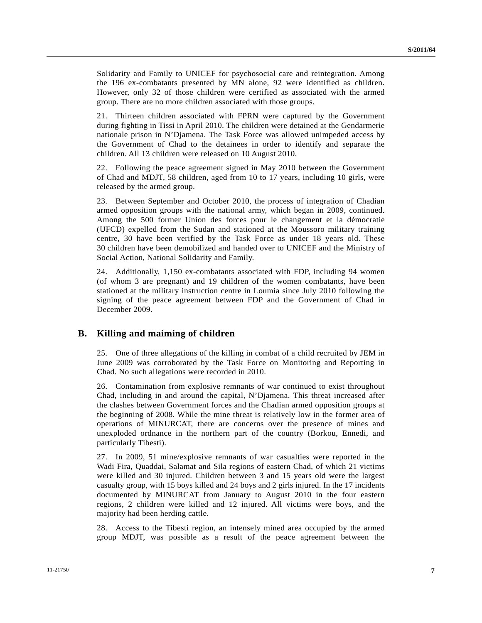Solidarity and Family to UNICEF for psychosocial care and reintegration. Among the 196 ex-combatants presented by MN alone, 92 were identified as children. However, only 32 of those children were certified as associated with the armed group. There are no more children associated with those groups.

21. Thirteen children associated with FPRN were captured by the Government during fighting in Tissi in April 2010. The children were detained at the Gendarmerie nationale prison in N'Djamena. The Task Force was allowed unimpeded access by the Government of Chad to the detainees in order to identify and separate the children. All 13 children were released on 10 August 2010.

22. Following the peace agreement signed in May 2010 between the Government of Chad and MDJT, 58 children, aged from 10 to 17 years, including 10 girls, were released by the armed group.

23. Between September and October 2010, the process of integration of Chadian armed opposition groups with the national army, which began in 2009, continued. Among the 500 former Union des forces pour le changement et la démocratie (UFCD) expelled from the Sudan and stationed at the Moussoro military training centre, 30 have been verified by the Task Force as under 18 years old. These 30 children have been demobilized and handed over to UNICEF and the Ministry of Social Action, National Solidarity and Family.

24. Additionally, 1,150 ex-combatants associated with FDP, including 94 women (of whom 3 are pregnant) and 19 children of the women combatants, have been stationed at the military instruction centre in Loumia since July 2010 following the signing of the peace agreement between FDP and the Government of Chad in December 2009.

## **B. Killing and maiming of children**

25. One of three allegations of the killing in combat of a child recruited by JEM in June 2009 was corroborated by the Task Force on Monitoring and Reporting in Chad. No such allegations were recorded in 2010.

26. Contamination from explosive remnants of war continued to exist throughout Chad, including in and around the capital, N'Djamena. This threat increased after the clashes between Government forces and the Chadian armed opposition groups at the beginning of 2008. While the mine threat is relatively low in the former area of operations of MINURCAT, there are concerns over the presence of mines and unexploded ordnance in the northern part of the country (Borkou, Ennedi, and particularly Tibesti).

27. In 2009, 51 mine/explosive remnants of war casualties were reported in the Wadi Fira, Quaddai, Salamat and Sila regions of eastern Chad, of which 21 victims were killed and 30 injured. Children between 3 and 15 years old were the largest casualty group, with 15 boys killed and 24 boys and 2 girls injured. In the 17 incidents documented by MINURCAT from January to August 2010 in the four eastern regions, 2 children were killed and 12 injured. All victims were boys, and the majority had been herding cattle.

28. Access to the Tibesti region, an intensely mined area occupied by the armed group MDJT, was possible as a result of the peace agreement between the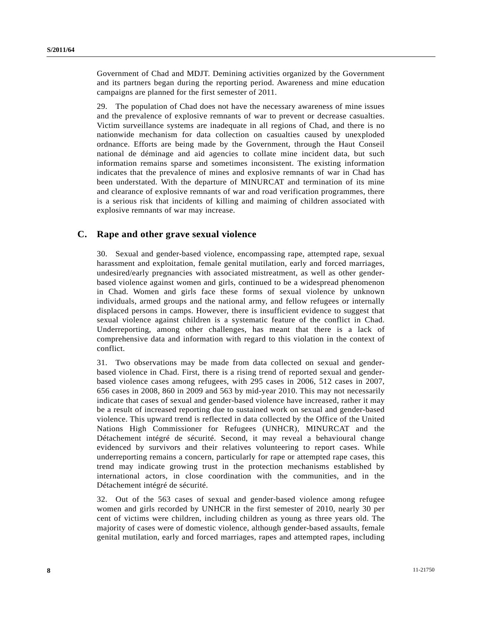Government of Chad and MDJT. Demining activities organized by the Government and its partners began during the reporting period. Awareness and mine education campaigns are planned for the first semester of 2011.

29. The population of Chad does not have the necessary awareness of mine issues and the prevalence of explosive remnants of war to prevent or decrease casualties. Victim surveillance systems are inadequate in all regions of Chad, and there is no nationwide mechanism for data collection on casualties caused by unexploded ordnance. Efforts are being made by the Government, through the Haut Conseil national de déminage and aid agencies to collate mine incident data, but such information remains sparse and sometimes inconsistent. The existing information indicates that the prevalence of mines and explosive remnants of war in Chad has been understated. With the departure of MINURCAT and termination of its mine and clearance of explosive remnants of war and road verification programmes, there is a serious risk that incidents of killing and maiming of children associated with explosive remnants of war may increase.

## **C. Rape and other grave sexual violence**

30. Sexual and gender-based violence, encompassing rape, attempted rape, sexual harassment and exploitation, female genital mutilation, early and forced marriages, undesired/early pregnancies with associated mistreatment, as well as other genderbased violence against women and girls, continued to be a widespread phenomenon in Chad. Women and girls face these forms of sexual violence by unknown individuals, armed groups and the national army, and fellow refugees or internally displaced persons in camps. However, there is insufficient evidence to suggest that sexual violence against children is a systematic feature of the conflict in Chad. Underreporting, among other challenges, has meant that there is a lack of comprehensive data and information with regard to this violation in the context of conflict.

31. Two observations may be made from data collected on sexual and genderbased violence in Chad. First, there is a rising trend of reported sexual and genderbased violence cases among refugees, with 295 cases in 2006, 512 cases in 2007, 656 cases in 2008, 860 in 2009 and 563 by mid-year 2010. This may not necessarily indicate that cases of sexual and gender-based violence have increased, rather it may be a result of increased reporting due to sustained work on sexual and gender-based violence. This upward trend is reflected in data collected by the Office of the United Nations High Commissioner for Refugees (UNHCR), MINURCAT and the Détachement intégré de sécurité. Second, it may reveal a behavioural change evidenced by survivors and their relatives volunteering to report cases. While underreporting remains a concern, particularly for rape or attempted rape cases, this trend may indicate growing trust in the protection mechanisms established by international actors, in close coordination with the communities, and in the Détachement intégré de sécurité.

32. Out of the 563 cases of sexual and gender-based violence among refugee women and girls recorded by UNHCR in the first semester of 2010, nearly 30 per cent of victims were children, including children as young as three years old. The majority of cases were of domestic violence, although gender-based assaults, female genital mutilation, early and forced marriages, rapes and attempted rapes, including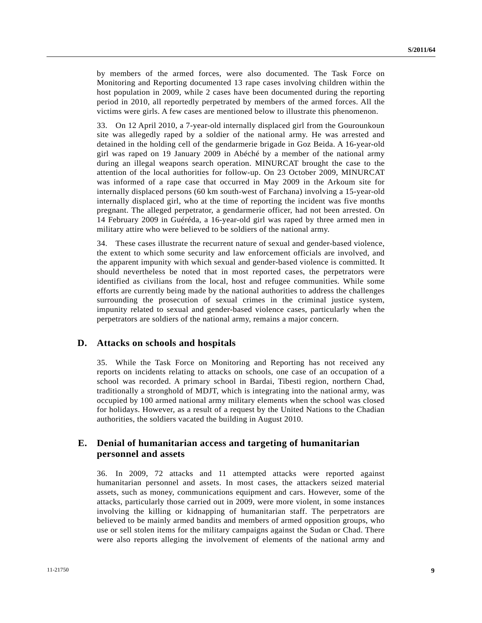by members of the armed forces, were also documented. The Task Force on Monitoring and Reporting documented 13 rape cases involving children within the host population in 2009, while 2 cases have been documented during the reporting period in 2010, all reportedly perpetrated by members of the armed forces. All the victims were girls. A few cases are mentioned below to illustrate this phenomenon.

33. On 12 April 2010, a 7-year-old internally displaced girl from the Gourounkoun site was allegedly raped by a soldier of the national army. He was arrested and detained in the holding cell of the gendarmerie brigade in Goz Beida. A 16-year-old girl was raped on 19 January 2009 in Abéché by a member of the national army during an illegal weapons search operation. MINURCAT brought the case to the attention of the local authorities for follow-up. On 23 October 2009, MINURCAT was informed of a rape case that occurred in May 2009 in the Arkoum site for internally displaced persons (60 km south-west of Farchana) involving a 15-year-old internally displaced girl, who at the time of reporting the incident was five months pregnant. The alleged perpetrator, a gendarmerie officer, had not been arrested. On 14 February 2009 in Guéréda, a 16-year-old girl was raped by three armed men in military attire who were believed to be soldiers of the national army.

34. These cases illustrate the recurrent nature of sexual and gender-based violence, the extent to which some security and law enforcement officials are involved, and the apparent impunity with which sexual and gender-based violence is committed. It should nevertheless be noted that in most reported cases, the perpetrators were identified as civilians from the local, host and refugee communities. While some efforts are currently being made by the national authorities to address the challenges surrounding the prosecution of sexual crimes in the criminal justice system, impunity related to sexual and gender-based violence cases, particularly when the perpetrators are soldiers of the national army, remains a major concern.

#### **D. Attacks on schools and hospitals**

35. While the Task Force on Monitoring and Reporting has not received any reports on incidents relating to attacks on schools, one case of an occupation of a school was recorded. A primary school in Bardai, Tibesti region, northern Chad, traditionally a stronghold of MDJT, which is integrating into the national army, was occupied by 100 armed national army military elements when the school was closed for holidays. However, as a result of a request by the United Nations to the Chadian authorities, the soldiers vacated the building in August 2010.

### **E. Denial of humanitarian access and targeting of humanitarian personnel and assets**

36. In 2009, 72 attacks and 11 attempted attacks were reported against humanitarian personnel and assets. In most cases, the attackers seized material assets, such as money, communications equipment and cars. However, some of the attacks, particularly those carried out in 2009, were more violent, in some instances involving the killing or kidnapping of humanitarian staff. The perpetrators are believed to be mainly armed bandits and members of armed opposition groups, who use or sell stolen items for the military campaigns against the Sudan or Chad. There were also reports alleging the involvement of elements of the national army and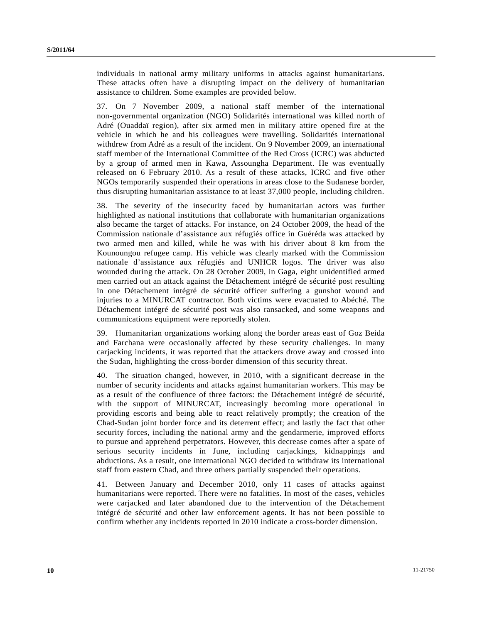individuals in national army military uniforms in attacks against humanitarians. These attacks often have a disrupting impact on the delivery of humanitarian assistance to children. Some examples are provided below.

37. On 7 November 2009, a national staff member of the international non-governmental organization (NGO) Solidarités international was killed north of Adré (Ouaddaï region), after six armed men in military attire opened fire at the vehicle in which he and his colleagues were travelling. Solidarités international withdrew from Adré as a result of the incident. On 9 November 2009, an international staff member of the International Committee of the Red Cross (ICRC) was abducted by a group of armed men in Kawa, Assoungha Department. He was eventually released on 6 February 2010. As a result of these attacks, ICRC and five other NGOs temporarily suspended their operations in areas close to the Sudanese border, thus disrupting humanitarian assistance to at least 37,000 people, including children.

38. The severity of the insecurity faced by humanitarian actors was further highlighted as national institutions that collaborate with humanitarian organizations also became the target of attacks. For instance, on 24 October 2009, the head of the Commission nationale d'assistance aux réfugiés office in Guéréda was attacked by two armed men and killed, while he was with his driver about 8 km from the Kounoungou refugee camp. His vehicle was clearly marked with the Commission nationale d'assistance aux réfugiés and UNHCR logos. The driver was also wounded during the attack. On 28 October 2009, in Gaga, eight unidentified armed men carried out an attack against the Détachement intégré de sécurité post resulting in one Détachement intégré de sécurité officer suffering a gunshot wound and injuries to a MINURCAT contractor. Both victims were evacuated to Abéché. The Détachement intégré de sécurité post was also ransacked, and some weapons and communications equipment were reportedly stolen.

39. Humanitarian organizations working along the border areas east of Goz Beida and Farchana were occasionally affected by these security challenges. In many carjacking incidents, it was reported that the attackers drove away and crossed into the Sudan, highlighting the cross-border dimension of this security threat.

40. The situation changed, however, in 2010, with a significant decrease in the number of security incidents and attacks against humanitarian workers. This may be as a result of the confluence of three factors: the Détachement intégré de sécurité, with the support of MINURCAT, increasingly becoming more operational in providing escorts and being able to react relatively promptly; the creation of the Chad-Sudan joint border force and its deterrent effect; and lastly the fact that other security forces, including the national army and the gendarmerie, improved efforts to pursue and apprehend perpetrators. However, this decrease comes after a spate of serious security incidents in June, including carjackings, kidnappings and abductions. As a result, one international NGO decided to withdraw its international staff from eastern Chad, and three others partially suspended their operations.

41. Between January and December 2010, only 11 cases of attacks against humanitarians were reported. There were no fatalities. In most of the cases, vehicles were carjacked and later abandoned due to the intervention of the Détachement intégré de sécurité and other law enforcement agents. It has not been possible to confirm whether any incidents reported in 2010 indicate a cross-border dimension.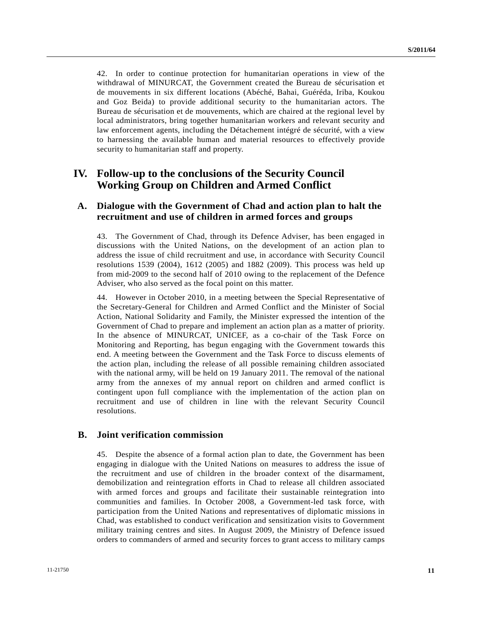42. In order to continue protection for humanitarian operations in view of the withdrawal of MINURCAT, the Government created the Bureau de sécurisation et de mouvements in six different locations (Abéché, Bahai, Guéréda, Iriba, Koukou and Goz Beida) to provide additional security to the humanitarian actors. The Bureau de sécurisation et de mouvements, which are chaired at the regional level by local administrators, bring together humanitarian workers and relevant security and law enforcement agents, including the Détachement intégré de sécurité, with a view to harnessing the available human and material resources to effectively provide security to humanitarian staff and property.

## **IV. Follow-up to the conclusions of the Security Council Working Group on Children and Armed Conflict**

## **A. Dialogue with the Government of Chad and action plan to halt the recruitment and use of children in armed forces and groups**

43. The Government of Chad, through its Defence Adviser, has been engaged in discussions with the United Nations, on the development of an action plan to address the issue of child recruitment and use, in accordance with Security Council resolutions 1539 (2004), 1612 (2005) and 1882 (2009). This process was held up from mid-2009 to the second half of 2010 owing to the replacement of the Defence Adviser, who also served as the focal point on this matter.

44. However in October 2010, in a meeting between the Special Representative of the Secretary-General for Children and Armed Conflict and the Minister of Social Action, National Solidarity and Family, the Minister expressed the intention of the Government of Chad to prepare and implement an action plan as a matter of priority. In the absence of MINURCAT, UNICEF, as a co-chair of the Task Force on Monitoring and Reporting, has begun engaging with the Government towards this end. A meeting between the Government and the Task Force to discuss elements of the action plan, including the release of all possible remaining children associated with the national army, will be held on 19 January 2011. The removal of the national army from the annexes of my annual report on children and armed conflict is contingent upon full compliance with the implementation of the action plan on recruitment and use of children in line with the relevant Security Council resolutions.

#### **B. Joint verification commission**

45. Despite the absence of a formal action plan to date, the Government has been engaging in dialogue with the United Nations on measures to address the issue of the recruitment and use of children in the broader context of the disarmament, demobilization and reintegration efforts in Chad to release all children associated with armed forces and groups and facilitate their sustainable reintegration into communities and families. In October 2008, a Government-led task force, with participation from the United Nations and representatives of diplomatic missions in Chad, was established to conduct verification and sensitization visits to Government military training centres and sites. In August 2009, the Ministry of Defence issued orders to commanders of armed and security forces to grant access to military camps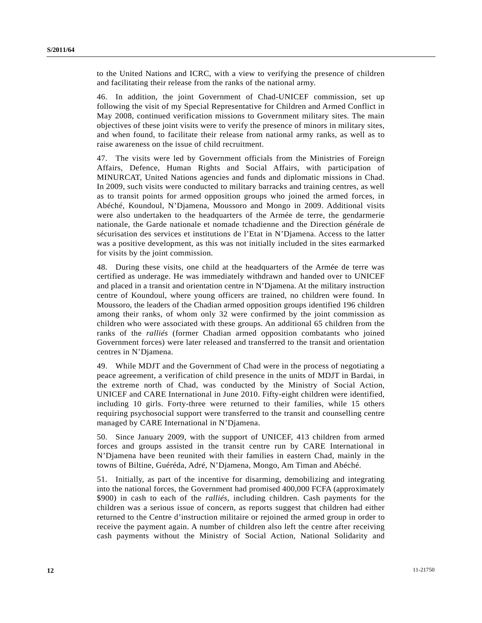to the United Nations and ICRC, with a view to verifying the presence of children and facilitating their release from the ranks of the national army.

46. In addition, the joint Government of Chad-UNICEF commission, set up following the visit of my Special Representative for Children and Armed Conflict in May 2008, continued verification missions to Government military sites. The main objectives of these joint visits were to verify the presence of minors in military sites, and when found, to facilitate their release from national army ranks, as well as to raise awareness on the issue of child recruitment.

47. The visits were led by Government officials from the Ministries of Foreign Affairs, Defence, Human Rights and Social Affairs, with participation of MINURCAT, United Nations agencies and funds and diplomatic missions in Chad. In 2009, such visits were conducted to military barracks and training centres, as well as to transit points for armed opposition groups who joined the armed forces, in Abéché, Koundoul, N'Djamena, Moussoro and Mongo in 2009. Additional visits were also undertaken to the headquarters of the Armée de terre, the gendarmerie nationale, the Garde nationale et nomade tchadienne and the Direction générale de sécurisation des services et institutions de l'Etat in N'Djamena. Access to the latter was a positive development, as this was not initially included in the sites earmarked for visits by the joint commission.

48. During these visits, one child at the headquarters of the Armée de terre was certified as underage. He was immediately withdrawn and handed over to UNICEF and placed in a transit and orientation centre in N'Djamena. At the military instruction centre of Koundoul, where young officers are trained, no children were found. In Moussoro, the leaders of the Chadian armed opposition groups identified 196 children among their ranks, of whom only 32 were confirmed by the joint commission as children who were associated with these groups. An additional 65 children from the ranks of the *ralliés* (former Chadian armed opposition combatants who joined Government forces) were later released and transferred to the transit and orientation centres in N'Djamena.

49. While MDJT and the Government of Chad were in the process of negotiating a peace agreement, a verification of child presence in the units of MDJT in Bardai, in the extreme north of Chad, was conducted by the Ministry of Social Action, UNICEF and CARE International in June 2010. Fifty-eight children were identified, including 10 girls. Forty-three were returned to their families, while 15 others requiring psychosocial support were transferred to the transit and counselling centre managed by CARE International in N'Djamena.

50. Since January 2009, with the support of UNICEF, 413 children from armed forces and groups assisted in the transit centre run by CARE International in N'Djamena have been reunited with their families in eastern Chad, mainly in the towns of Biltine, Guéréda, Adré, N'Djamena, Mongo, Am Timan and Abéché.

51. Initially, as part of the incentive for disarming, demobilizing and integrating into the national forces, the Government had promised 400,000 FCFA (approximately \$900) in cash to each of the *ralliés*, including children. Cash payments for the children was a serious issue of concern, as reports suggest that children had either returned to the Centre d'instruction militaire or rejoined the armed group in order to receive the payment again. A number of children also left the centre after receiving cash payments without the Ministry of Social Action, National Solidarity and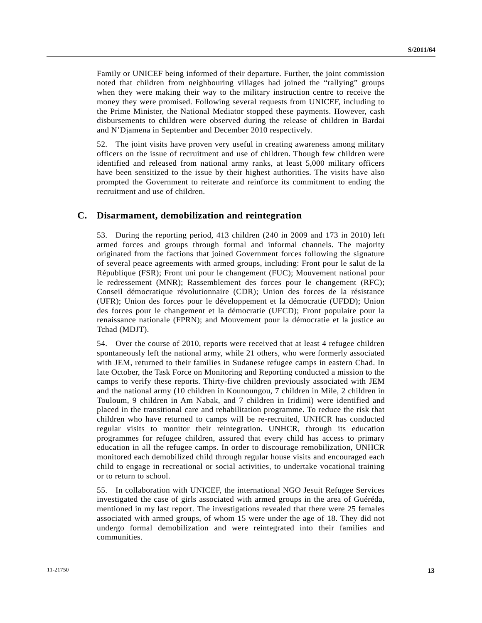Family or UNICEF being informed of their departure. Further, the joint commission noted that children from neighbouring villages had joined the "rallying" groups when they were making their way to the military instruction centre to receive the money they were promised. Following several requests from UNICEF, including to the Prime Minister, the National Mediator stopped these payments. However, cash disbursements to children were observed during the release of children in Bardai and N'Djamena in September and December 2010 respectively.

52. The joint visits have proven very useful in creating awareness among military officers on the issue of recruitment and use of children. Though few children were identified and released from national army ranks, at least 5,000 military officers have been sensitized to the issue by their highest authorities. The visits have also prompted the Government to reiterate and reinforce its commitment to ending the recruitment and use of children.

## **C. Disarmament, demobilization and reintegration**

53. During the reporting period, 413 children (240 in 2009 and 173 in 2010) left armed forces and groups through formal and informal channels. The majority originated from the factions that joined Government forces following the signature of several peace agreements with armed groups, including: Front pour le salut de la République (FSR); Front uni pour le changement (FUC); Mouvement national pour le redressement (MNR); Rassemblement des forces pour le changement (RFC); Conseil démocratique révolutionnaire (CDR); Union des forces de la résistance (UFR); Union des forces pour le développement et la démocratie (UFDD); Union des forces pour le changement et la démocratie (UFCD); Front populaire pour la renaissance nationale (FPRN); and Mouvement pour la démocratie et la justice au Tchad (MDJT).

54. Over the course of 2010, reports were received that at least 4 refugee children spontaneously left the national army, while 21 others, who were formerly associated with JEM, returned to their families in Sudanese refugee camps in eastern Chad. In late October, the Task Force on Monitoring and Reporting conducted a mission to the camps to verify these reports. Thirty-five children previously associated with JEM and the national army (10 children in Kounoungou, 7 children in Mile, 2 children in Touloum, 9 children in Am Nabak, and 7 children in Iridimi) were identified and placed in the transitional care and rehabilitation programme. To reduce the risk that children who have returned to camps will be re-recruited, UNHCR has conducted regular visits to monitor their reintegration. UNHCR, through its education programmes for refugee children, assured that every child has access to primary education in all the refugee camps. In order to discourage remobilization, UNHCR monitored each demobilized child through regular house visits and encouraged each child to engage in recreational or social activities, to undertake vocational training or to return to school.

55. In collaboration with UNICEF, the international NGO Jesuit Refugee Services investigated the case of girls associated with armed groups in the area of Guéréda, mentioned in my last report. The investigations revealed that there were 25 females associated with armed groups, of whom 15 were under the age of 18. They did not undergo formal demobilization and were reintegrated into their families and communities.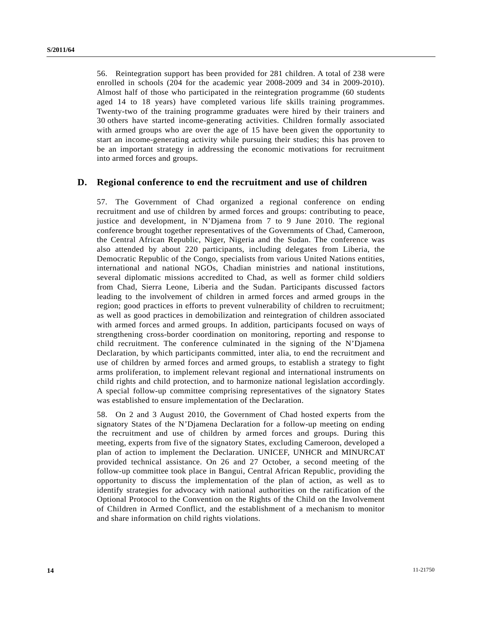56. Reintegration support has been provided for 281 children. A total of 238 were enrolled in schools (204 for the academic year 2008-2009 and 34 in 2009-2010). Almost half of those who participated in the reintegration programme (60 students aged 14 to 18 years) have completed various life skills training programmes. Twenty-two of the training programme graduates were hired by their trainers and 30 others have started income-generating activities. Children formally associated with armed groups who are over the age of 15 have been given the opportunity to start an income-generating activity while pursuing their studies; this has proven to be an important strategy in addressing the economic motivations for recruitment into armed forces and groups.

#### **D. Regional conference to end the recruitment and use of children**

57. The Government of Chad organized a regional conference on ending recruitment and use of children by armed forces and groups: contributing to peace, justice and development, in N'Djamena from 7 to 9 June 2010. The regional conference brought together representatives of the Governments of Chad, Cameroon, the Central African Republic, Niger, Nigeria and the Sudan. The conference was also attended by about 220 participants, including delegates from Liberia, the Democratic Republic of the Congo, specialists from various United Nations entities, international and national NGOs, Chadian ministries and national institutions, several diplomatic missions accredited to Chad, as well as former child soldiers from Chad, Sierra Leone, Liberia and the Sudan. Participants discussed factors leading to the involvement of children in armed forces and armed groups in the region; good practices in efforts to prevent vulnerability of children to recruitment; as well as good practices in demobilization and reintegration of children associated with armed forces and armed groups. In addition, participants focused on ways of strengthening cross-border coordination on monitoring, reporting and response to child recruitment. The conference culminated in the signing of the N'Djamena Declaration, by which participants committed, inter alia, to end the recruitment and use of children by armed forces and armed groups, to establish a strategy to fight arms proliferation, to implement relevant regional and international instruments on child rights and child protection, and to harmonize national legislation accordingly. A special follow-up committee comprising representatives of the signatory States was established to ensure implementation of the Declaration.

58. On 2 and 3 August 2010, the Government of Chad hosted experts from the signatory States of the N'Djamena Declaration for a follow-up meeting on ending the recruitment and use of children by armed forces and groups. During this meeting, experts from five of the signatory States, excluding Cameroon, developed a plan of action to implement the Declaration. UNICEF, UNHCR and MINURCAT provided technical assistance. On 26 and 27 October, a second meeting of the follow-up committee took place in Bangui, Central African Republic, providing the opportunity to discuss the implementation of the plan of action, as well as to identify strategies for advocacy with national authorities on the ratification of the Optional Protocol to the Convention on the Rights of the Child on the Involvement of Children in Armed Conflict, and the establishment of a mechanism to monitor and share information on child rights violations.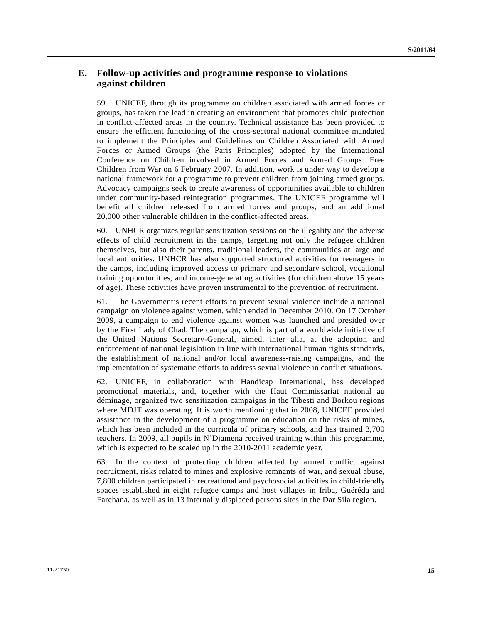## **E. Follow-up activities and programme response to violations against children**

59. UNICEF, through its programme on children associated with armed forces or groups, has taken the lead in creating an environment that promotes child protection in conflict-affected areas in the country. Technical assistance has been provided to ensure the efficient functioning of the cross-sectoral national committee mandated to implement the Principles and Guidelines on Children Associated with Armed Forces or Armed Groups (the Paris Principles) adopted by the International Conference on Children involved in Armed Forces and Armed Groups: Free Children from War on 6 February 2007. In addition, work is under way to develop a national framework for a programme to prevent children from joining armed groups. Advocacy campaigns seek to create awareness of opportunities available to children under community-based reintegration programmes. The UNICEF programme will benefit all children released from armed forces and groups, and an additional 20,000 other vulnerable children in the conflict-affected areas.

60. UNHCR organizes regular sensitization sessions on the illegality and the adverse effects of child recruitment in the camps, targeting not only the refugee children themselves, but also their parents, traditional leaders, the communities at large and local authorities. UNHCR has also supported structured activities for teenagers in the camps, including improved access to primary and secondary school, vocational training opportunities, and income-generating activities (for children above 15 years of age). These activities have proven instrumental to the prevention of recruitment.

61. The Government's recent efforts to prevent sexual violence include a national campaign on violence against women, which ended in December 2010. On 17 October 2009, a campaign to end violence against women was launched and presided over by the First Lady of Chad. The campaign, which is part of a worldwide initiative of the United Nations Secretary-General, aimed, inter alia, at the adoption and enforcement of national legislation in line with international human rights standards, the establishment of national and/or local awareness-raising campaigns, and the implementation of systematic efforts to address sexual violence in conflict situations.

62. UNICEF, in collaboration with Handicap International, has developed promotional materials, and, together with the Haut Commissariat national au déminage, organized two sensitization campaigns in the Tibesti and Borkou regions where MDJT was operating. It is worth mentioning that in 2008, UNICEF provided assistance in the development of a programme on education on the risks of mines, which has been included in the curricula of primary schools, and has trained 3,700 teachers. In 2009, all pupils in N'Djamena received training within this programme, which is expected to be scaled up in the 2010-2011 academic year.

63. In the context of protecting children affected by armed conflict against recruitment, risks related to mines and explosive remnants of war, and sexual abuse, 7,800 children participated in recreational and psychosocial activities in child-friendly spaces established in eight refugee camps and host villages in Iriba, Guéréda and Farchana, as well as in 13 internally displaced persons sites in the Dar Sila region.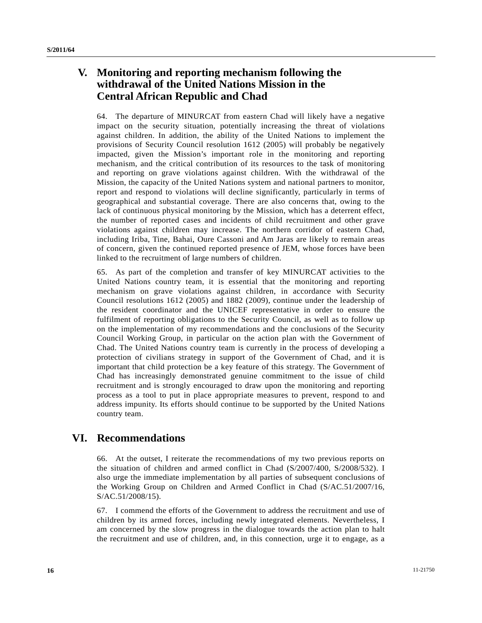# **V. Monitoring and reporting mechanism following the withdrawal of the United Nations Mission in the Central African Republic and Chad**

64. The departure of MINURCAT from eastern Chad will likely have a negative impact on the security situation, potentially increasing the threat of violations against children. In addition, the ability of the United Nations to implement the provisions of Security Council resolution 1612 (2005) will probably be negatively impacted, given the Mission's important role in the monitoring and reporting mechanism, and the critical contribution of its resources to the task of monitoring and reporting on grave violations against children. With the withdrawal of the Mission, the capacity of the United Nations system and national partners to monitor, report and respond to violations will decline significantly, particularly in terms of geographical and substantial coverage. There are also concerns that, owing to the lack of continuous physical monitoring by the Mission, which has a deterrent effect, the number of reported cases and incidents of child recruitment and other grave violations against children may increase. The northern corridor of eastern Chad, including Iriba, Tine, Bahai, Oure Cassoni and Am Jaras are likely to remain areas of concern, given the continued reported presence of JEM, whose forces have been linked to the recruitment of large numbers of children.

65. As part of the completion and transfer of key MINURCAT activities to the United Nations country team, it is essential that the monitoring and reporting mechanism on grave violations against children, in accordance with Security Council resolutions 1612 (2005) and 1882 (2009), continue under the leadership of the resident coordinator and the UNICEF representative in order to ensure the fulfilment of reporting obligations to the Security Council, as well as to follow up on the implementation of my recommendations and the conclusions of the Security Council Working Group, in particular on the action plan with the Government of Chad. The United Nations country team is currently in the process of developing a protection of civilians strategy in support of the Government of Chad, and it is important that child protection be a key feature of this strategy. The Government of Chad has increasingly demonstrated genuine commitment to the issue of child recruitment and is strongly encouraged to draw upon the monitoring and reporting process as a tool to put in place appropriate measures to prevent, respond to and address impunity. Its efforts should continue to be supported by the United Nations country team.

# **VI. Recommendations**

66. At the outset, I reiterate the recommendations of my two previous reports on the situation of children and armed conflict in Chad (S/2007/400, S/2008/532). I also urge the immediate implementation by all parties of subsequent conclusions of the Working Group on Children and Armed Conflict in Chad (S/AC.51/2007/16, S/AC.51/2008/15).

67. I commend the efforts of the Government to address the recruitment and use of children by its armed forces, including newly integrated elements. Nevertheless, I am concerned by the slow progress in the dialogue towards the action plan to halt the recruitment and use of children, and, in this connection, urge it to engage, as a